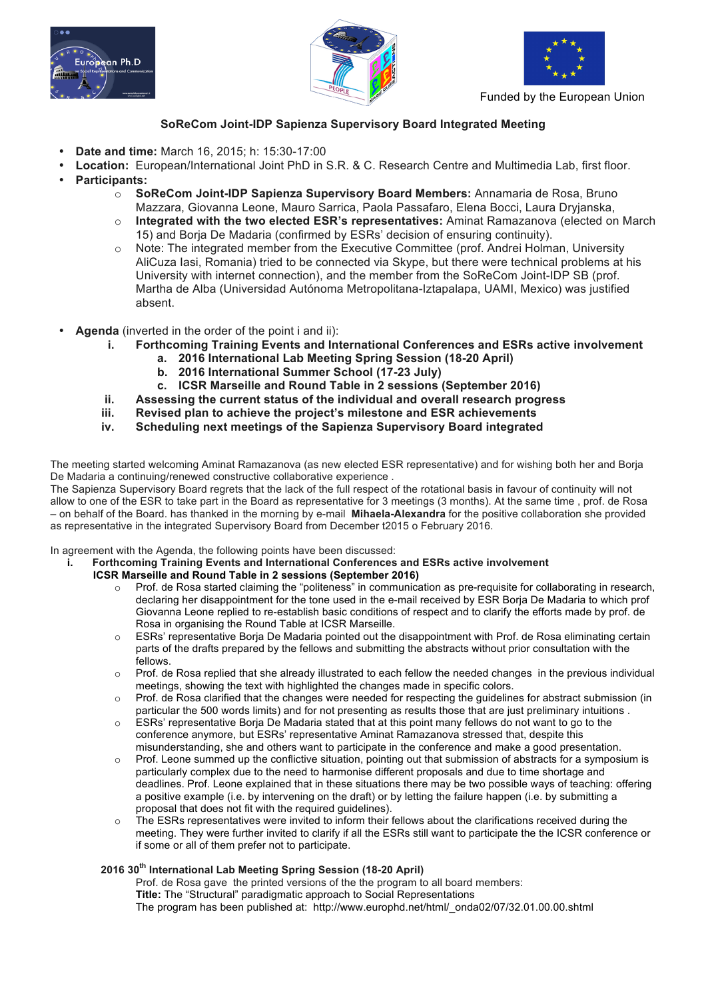





Funded by the European Union

# **SoReCom Joint-IDP Sapienza Supervisory Board Integrated Meeting**

- **Date and time:** March 16, 2015; h: 15:30-17:00
- **Location:** European/International Joint PhD in S.R. & C. Research Centre and Multimedia Lab, first floor.
- **Participants:**
	- o **SoReCom Joint-IDP Sapienza Supervisory Board Members:** Annamaria de Rosa, Bruno Mazzara, Giovanna Leone, Mauro Sarrica, Paola Passafaro, Elena Bocci, Laura Dryjanska,
	- o **Integrated with the two elected ESR's representatives:** Aminat Ramazanova (elected on March 15) and Borja De Madaria (confirmed by ESRs' decision of ensuring continuity).
	- o Note: The integrated member from the Executive Committee (prof. Andrei Holman, University AliCuza Iasi, Romania) tried to be connected via Skype, but there were technical problems at his University with internet connection), and the member from the SoReCom Joint-IDP SB (prof. Martha de Alba (Universidad Autónoma Metropolitana-Iztapalapa, UAMI, Mexico) was justified absent.
- **Agenda** (inverted in the order of the point i and ii):
	- **i. Forthcoming Training Events and International Conferences and ESRs active involvement**
		- **a. 2016 International Lab Meeting Spring Session (18-20 April)**
			- **b. 2016 International Summer School (17-23 July)**
		- **c. ICSR Marseille and Round Table in 2 sessions (September 2016)**
		- **ii. Assessing the current status of the individual and overall research progress**
		- **iii. Revised plan to achieve the project's milestone and ESR achievements**
		- **iv. Scheduling next meetings of the Sapienza Supervisory Board integrated**

The meeting started welcoming Aminat Ramazanova (as new elected ESR representative) and for wishing both her and Borja De Madaria a continuing/renewed constructive collaborative experience .

The Sapienza Supervisory Board regrets that the lack of the full respect of the rotational basis in favour of continuity will not allow to one of the ESR to take part in the Board as representative for 3 meetings (3 months). At the same time , prof. de Rosa – on behalf of the Board. has thanked in the morning by e-mail **Mihaela-Alexandra** for the positive collaboration she provided as representative in the integrated Supervisory Board from December t2015 o February 2016.

In agreement with the Agenda, the following points have been discussed:

- **i. Forthcoming Training Events and International Conferences and ESRs active involvement ICSR Marseille and Round Table in 2 sessions (September 2016)**
	- o Prof. de Rosa started claiming the "politeness" in communication as pre-requisite for collaborating in research, declaring her disappointment for the tone used in the e-mail received by ESR Borja De Madaria to which prof Giovanna Leone replied to re-establish basic conditions of respect and to clarify the efforts made by prof. de Rosa in organising the Round Table at ICSR Marseille.
	- $\circ$  ESRs' representative Borja De Madaria pointed out the disappointment with Prof. de Rosa eliminating certain parts of the drafts prepared by the fellows and submitting the abstracts without prior consultation with the fellows.
	- o Prof. de Rosa replied that she already illustrated to each fellow the needed changes in the previous individual meetings, showing the text with highlighted the changes made in specific colors.
	- o Prof. de Rosa clarified that the changes were needed for respecting the guidelines for abstract submission (in particular the 500 words limits) and for not presenting as results those that are just preliminary intuitions .
	- $\circ$  ESRs' representative Borja De Madaria stated that at this point many fellows do not want to go to the conference anymore, but ESRs' representative Aminat Ramazanova stressed that, despite this misunderstanding, she and others want to participate in the conference and make a good presentation.
	- o Prof. Leone summed up the conflictive situation, pointing out that submission of abstracts for a symposium is particularly complex due to the need to harmonise different proposals and due to time shortage and deadlines. Prof. Leone explained that in these situations there may be two possible ways of teaching: offering a positive example (i.e. by intervening on the draft) or by letting the failure happen (i.e. by submitting a proposal that does not fit with the required guidelines).
	- o The ESRs representatives were invited to inform their fellows about the clarifications received during the meeting. They were further invited to clarify if all the ESRs still want to participate the the ICSR conference or if some or all of them prefer not to participate.

#### **2016 30th International Lab Meeting Spring Session (18-20 April)**

Prof. de Rosa gave the printed versions of the the program to all board members: **Title:** The "Structural" paradigmatic approach to Social Representations The program has been published at: http://www.europhd.net/html/\_onda02/07/32.01.00.00.shtml